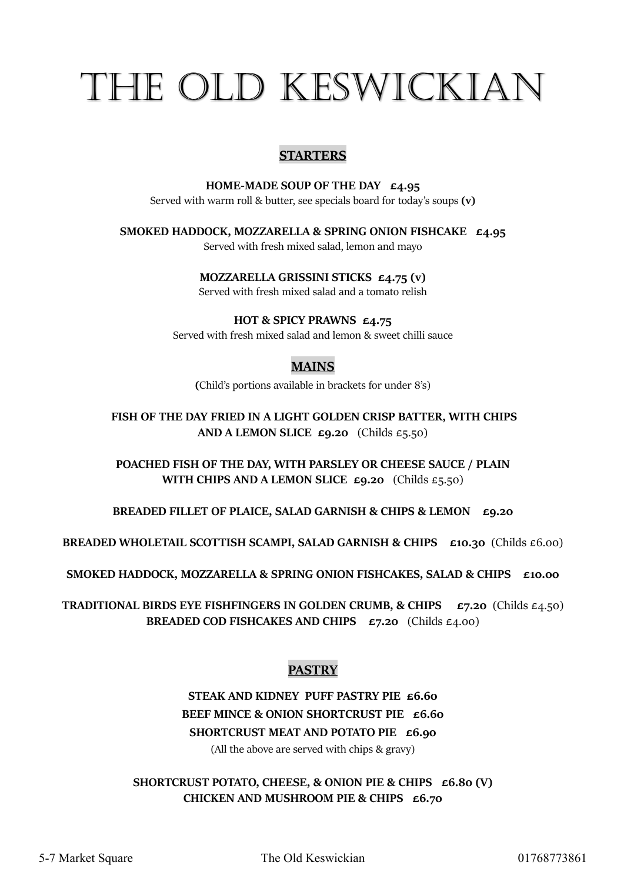# THE OLD KESWICKIAN

#### **STARTERS**

HOME-MADE SOUP OF THE DAY £4.95 Served with warm roll & butter, see specials board for today's soups (v)

SMOKED HADDOCK, MOZZARELLA & SPRING ONION FISHCAKE £4.95

Served with fresh mixed salad, lemon and mayo

MOZZARELLA GRISSINI STICKS £4.75 (v)

Served with fresh mixed salad and a tomato relish

HOT & SPICY PRAWNS £4.75

Served with fresh mixed salad and lemon & sweet chilli sauce

#### MAINS

(Child's portions available in brackets for under 8's)

FISH OF THE DAY FRIED IN A LIGHT GOLDEN CRISP BATTER, WITH CHIPS AND A LEMON SLICE  $\epsilon$ 9.20 (Childs  $\epsilon$ 5.50)

POACHED FISH OF THE DAY, WITH PARSLEY OR CHEESE SAUCE / PLAIN WITH CHIPS AND A LEMON SLICE  $\epsilon$ 9.20 (Childs  $\epsilon$ 5.50)

BREADED FILLET OF PLAICE, SALAD GARNISH & CHIPS & LEMON  $E9.20$ 

BREADED WHOLETAIL SCOTTISH SCAMPI, SALAD GARNISH & CHIPS  $\epsilon$ 10.30 (Childs  $\epsilon$ 6.00)

SMOKED HADDOCK, MOZZARELLA & SPRING ONION FISHCAKES, SALAD & CHIPS £10.00

**TRADITIONAL BIRDS EYE FISHFINGERS IN GOLDEN CRUMB, & CHIPS**  $\epsilon$ 7.20 (Childs  $\epsilon$ 4.50) BREADED COD FISHCAKES AND CHIPS  $\epsilon$ 7.20 (Childs  $\epsilon$ 4.00)

#### **PASTRY**

#### STEAK AND KIDNEY PUFF PASTRY PIE £6.60 BEEF MINCE & ONION SHORTCRUST PIE £6.60 SHORTCRUST MEAT AND POTATO PIE £6.90

(All the above are served with chips & gravy)

SHORTCRUST POTATO, CHEESE, & ONION PIE & CHIPS £6.80 (V) CHICKEN AND MUSHROOM PIE & CHIPS  $\epsilon$ 6.70

5-7 Market Square The Old Keswickian 01768773861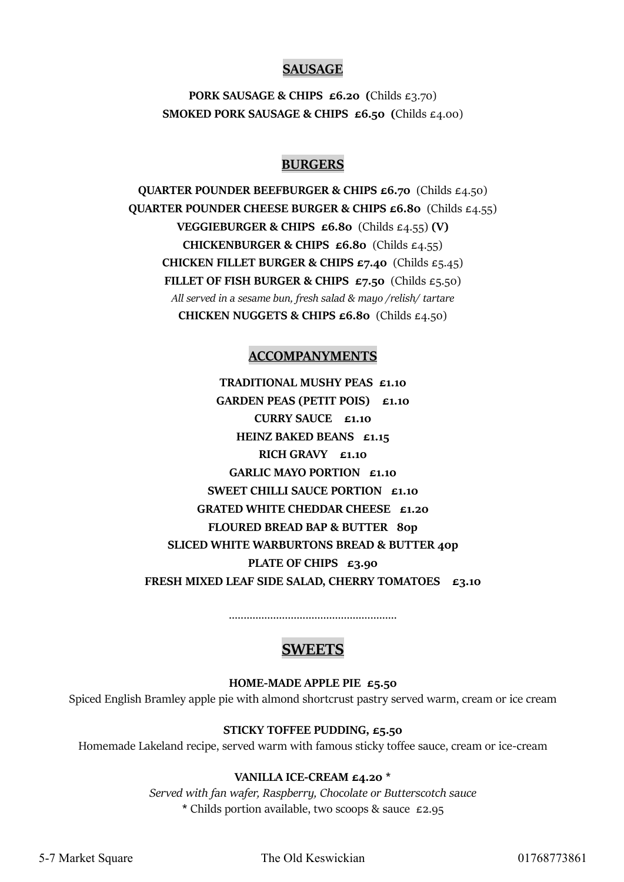#### SAUSAGE

PORK SAUSAGE & CHIPS £6.20 (Childs £3.70) SMOKED PORK SAUSAGE & CHIPS  $£6.50$  (Childs  $£4.00$ )

#### BURGERS

QUARTER POUNDER BEEFBURGER & CHIPS £6.70 (Childs £4.50) QUARTER POUNDER CHEESE BURGER & CHIPS £6.80 (Childs £4.55) VEGGIEBURGER & CHIPS  $\epsilon$ 6.80 (Childs  $\epsilon$ 4.55) (V) CHICKENBURGER & CHIPS  $\epsilon$ 6.80 (Childs  $\epsilon$ 4.55) CHICKEN FILLET BURGER & CHIPS  $\epsilon$ 7.40 (Childs  $\epsilon$ 5.45) FILLET OF FISH BURGER & CHIPS  $E7.50$  (Childs  $E5.50$ ) All served in a sesame bun, fresh salad & mayo /relish/ tartare CHICKEN NUGGETS & CHIPS £6.80 (Childs £4.50)

#### ACCOMPANYMENTS

TRADITIONAL MUSHY PEAS £1.10 GARDEN PEAS (PETIT POIS) £1.10 CURRY SAUCE £1.10 HEINZ BAKED BEANS £1.15 RICH GRAVY £1.10 GARLIC MAYO PORTION £1.10 SWEET CHILLI SAUCE PORTION £1.10 GRATED WHITE CHEDDAR CHEESE £1.20 FLOURED BREAD BAP & BUTTER 80p SLICED WHITE WARBURTONS BREAD & BUTTER 40p PLATE OF CHIPS £3.90 FRESH MIXED LEAF SIDE SALAD, CHERRY TOMATOES  $\epsilon$ 3.10

.........................................................

#### **SWEETS**

HOME-MADE APPLE PIE £5.50

Spiced English Bramley apple pie with almond shortcrust pastry served warm, cream or ice cream

#### STICKY TOFFEE PUDDING, £5.50

Homemade Lakeland recipe, served warm with famous sticky toffee sauce, cream or ice-cream

#### VANILLA ICE-CREAM £4.20 \*

Served with fan wafer, Raspberry, Chocolate or Butterscotch sauce \* Childs portion available, two scoops & sauce £2.95

5-7 Market Square The Old Keswickian 01768773861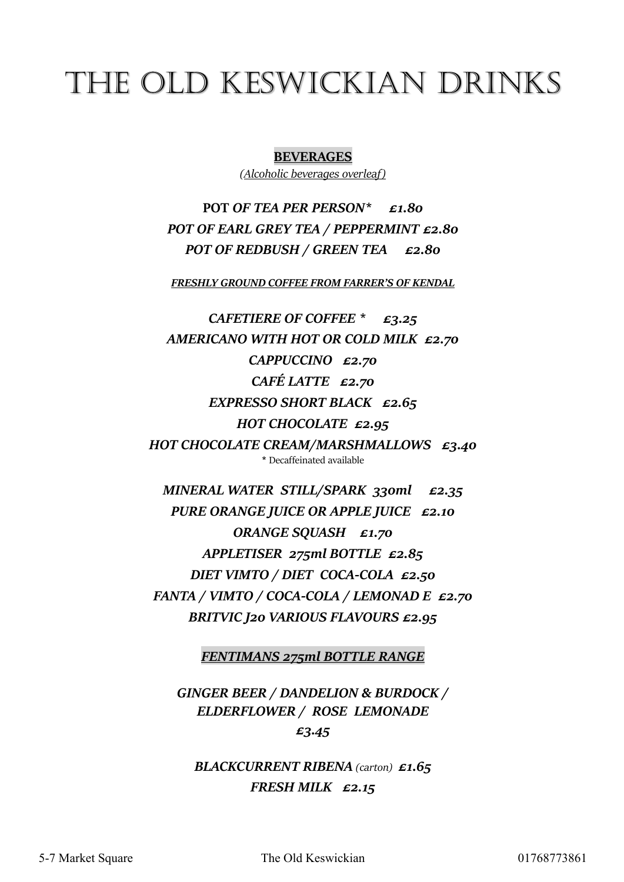## THE OLD KESWICKIAN DRINKS

**BEVERAGES** 

(Alcoholic beverages overleaf)

POT OF TEA PER PERSON\* £1.80 POT OF EARL GREY TEA / PEPPERMINT £2.80 POT OF REDBUSH / GREEN TEA £2.80

FRESHLY GROUND COFFEE FROM FARRER'S OF KENDAL

CAFETIERE OF COFFEE  $*$  £3.25 AMERICANO WITH HOT OR COLD MILK £2.70 CAPPUCCINO £2.70 CAFÉ LATTE £2.70 EXPRESSO SHORT BLACK  $\epsilon$ 2.65 HOT CHOCOLATE £2.95 HOT CHOCOLATE CREAM/MARSHMALLOWS £3.40 \* Decaffeinated available

MINERAL WATER STILL/SPARK 330ml £2.35 PURE ORANGE JUICE OR APPLE JUICE £2.10 ORANGE SQUASH £1.70 APPLETISER 275ml BOTTLE £2.85 DIET VIMTO / DIET COCA-COLA £2.50 FANTA / VIMTO / COCA-COLA / LEMONAD E £2.70 BRITVIC J20 VARIOUS FLAVOURS £2.95

FENTIMANS 275ml BOTTLE RANGE

GINGER BEER / DANDELION & BURDOCK / ELDERFLOWER / ROSE LEMONADE £3.45

BLACKCURRENT RIBENA (carton) £1.65 FRESH MILK £2.15